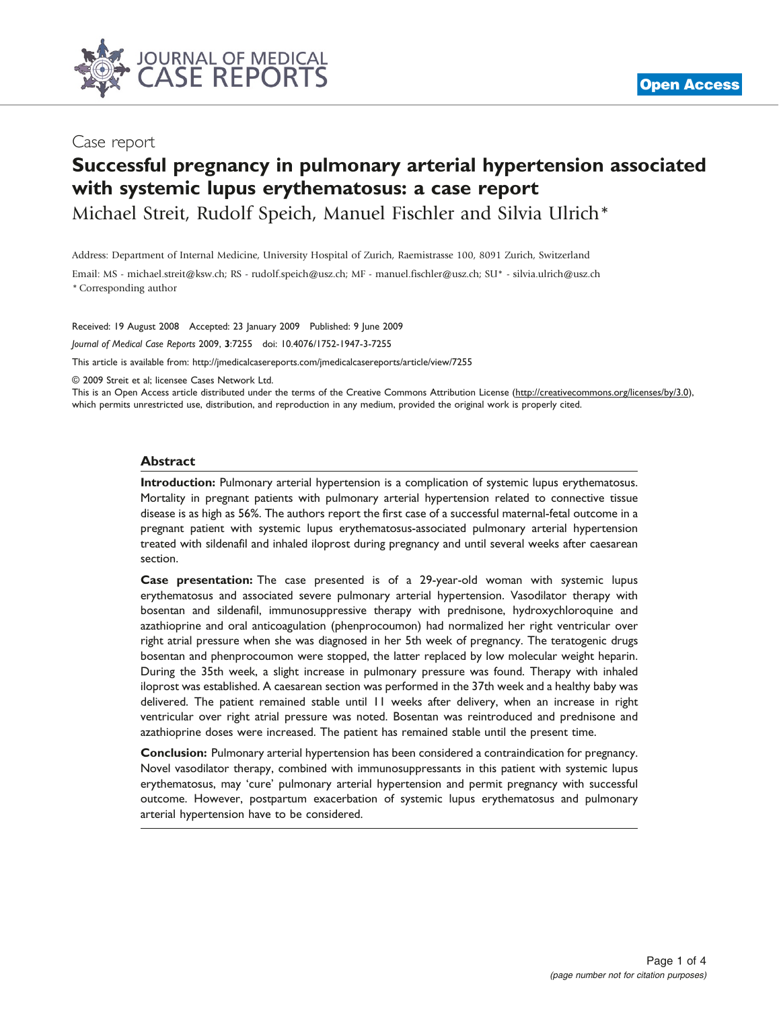

# Case report

# Successful pregnancy in pulmonary arterial hypertension associated with systemic lupus erythematosus: a case report

Michael Streit, Rudolf Speich, Manuel Fischler and Silvia Ulrich\*

Address: Department of Internal Medicine, University Hospital of Zurich, Raemistrasse 100, 8091 Zurich, Switzerland

Email: MS - michael.streit@ksw.ch; RS - rudolf.speich@usz.ch; MF - manuel.fischler@usz.ch; SU\* - silvia.ulrich@usz.ch \* Corresponding author

Received: 19 August 2008 Accepted: 23 January 2009 Published: 9 June 2009

Journal of Medical Case Reports 2009, 3:7255 doi: 10.4076/1752-1947-3-7255

This article is available from:<http://jmedicalcasereports.com/jmedicalcasereports/article/view/7255>

© 2009 Streit et al; licensee Cases Network Ltd.

This is an Open Access article distributed under the terms of the Creative Commons Attribution License [\(http://creativecommons.org/licenses/by/3.0\)](http://creativecommons.org/licenses/by/3.0), which permits unrestricted use, distribution, and reproduction in any medium, provided the original work is properly cited.

#### Abstract

Introduction: Pulmonary arterial hypertension is a complication of systemic lupus erythematosus. Mortality in pregnant patients with pulmonary arterial hypertension related to connective tissue disease is as high as 56%. The authors report the first case of a successful maternal-fetal outcome in a pregnant patient with systemic lupus erythematosus-associated pulmonary arterial hypertension treated with sildenafil and inhaled iloprost during pregnancy and until several weeks after caesarean section.

Case presentation: The case presented is of a 29-year-old woman with systemic lupus erythematosus and associated severe pulmonary arterial hypertension. Vasodilator therapy with bosentan and sildenafil, immunosuppressive therapy with prednisone, hydroxychloroquine and azathioprine and oral anticoagulation (phenprocoumon) had normalized her right ventricular over right atrial pressure when she was diagnosed in her 5th week of pregnancy. The teratogenic drugs bosentan and phenprocoumon were stopped, the latter replaced by low molecular weight heparin. During the 35th week, a slight increase in pulmonary pressure was found. Therapy with inhaled iloprost was established. A caesarean section was performed in the 37th week and a healthy baby was delivered. The patient remained stable until 11 weeks after delivery, when an increase in right ventricular over right atrial pressure was noted. Bosentan was reintroduced and prednisone and azathioprine doses were increased. The patient has remained stable until the present time.

Conclusion: Pulmonary arterial hypertension has been considered a contraindication for pregnancy. Novel vasodilator therapy, combined with immunosuppressants in this patient with systemic lupus erythematosus, may 'cure' pulmonary arterial hypertension and permit pregnancy with successful outcome. However, postpartum exacerbation of systemic lupus erythematosus and pulmonary arterial hypertension have to be considered.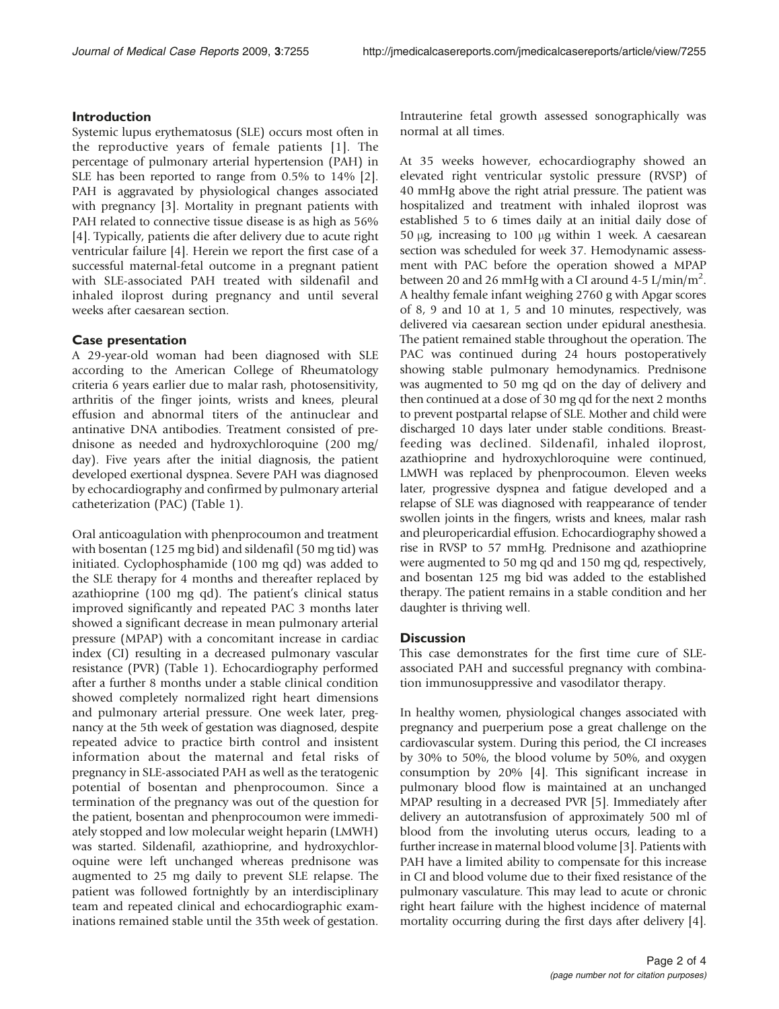## Introduction

Systemic lupus erythematosus (SLE) occurs most often in the reproductive years of female patients [[1](#page-3-0)]. The percentage of pulmonary arterial hypertension (PAH) in SLE has been reported to range from 0.5% to 14% [[2\]](#page-3-0). PAH is aggravated by physiological changes associated with pregnancy [[3](#page-3-0)]. Mortality in pregnant patients with PAH related to connective tissue disease is as high as 56% [\[4](#page-3-0)]. Typically, patients die after delivery due to acute right ventricular failure [\[4\]](#page-3-0). Herein we report the first case of a successful maternal-fetal outcome in a pregnant patient with SLE-associated PAH treated with sildenafil and inhaled iloprost during pregnancy and until several weeks after caesarean section.

#### Case presentation

A 29-year-old woman had been diagnosed with SLE according to the American College of Rheumatology criteria 6 years earlier due to malar rash, photosensitivity, arthritis of the finger joints, wrists and knees, pleural effusion and abnormal titers of the antinuclear and antinative DNA antibodies. Treatment consisted of prednisone as needed and hydroxychloroquine (200 mg/ day). Five years after the initial diagnosis, the patient developed exertional dyspnea. Severe PAH was diagnosed by echocardiography and confirmed by pulmonary arterial catheterization (PAC) [\(Table 1](#page-2-0)).

Oral anticoagulation with phenprocoumon and treatment with bosentan (125 mg bid) and sildenafil (50 mg tid) was initiated. Cyclophosphamide (100 mg qd) was added to the SLE therapy for 4 months and thereafter replaced by azathioprine (100 mg qd). The patient's clinical status improved significantly and repeated PAC 3 months later showed a significant decrease in mean pulmonary arterial pressure (MPAP) with a concomitant increase in cardiac index (CI) resulting in a decreased pulmonary vascular resistance (PVR) (Table 1). Echocardiography performed after a further 8 months under a stable clinical condition showed completely normalized right heart dimensions and pulmonary arterial pressure. One week later, pregnancy at the 5th week of gestation was diagnosed, despite repeated advice to practice birth control and insistent information about the maternal and fetal risks of pregnancy in SLE-associated PAH as well as the teratogenic potential of bosentan and phenprocoumon. Since a termination of the pregnancy was out of the question for the patient, bosentan and phenprocoumon were immediately stopped and low molecular weight heparin (LMWH) was started. Sildenafil, azathioprine, and hydroxychloroquine were left unchanged whereas prednisone was augmented to 25 mg daily to prevent SLE relapse. The patient was followed fortnightly by an interdisciplinary team and repeated clinical and echocardiographic examinations remained stable until the 35th week of gestation.

Intrauterine fetal growth assessed sonographically was normal at all times.

At 35 weeks however, echocardiography showed an elevated right ventricular systolic pressure (RVSP) of 40 mmHg above the right atrial pressure. The patient was hospitalized and treatment with inhaled iloprost was established 5 to 6 times daily at an initial daily dose of 50  $\mu$ g, increasing to 100  $\mu$ g within 1 week. A caesarean section was scheduled for week 37. Hemodynamic assessment with PAC before the operation showed a MPAP between 20 and 26 mmHg with a CI around 4-5  $\text{L/min/m}^2$ . A healthy female infant weighing 2760 g with Apgar scores of 8, 9 and 10 at 1, 5 and 10 minutes, respectively, was delivered via caesarean section under epidural anesthesia. The patient remained stable throughout the operation. The PAC was continued during 24 hours postoperatively showing stable pulmonary hemodynamics. Prednisone was augmented to 50 mg qd on the day of delivery and then continued at a dose of 30 mg qd for the next 2 months to prevent postpartal relapse of SLE. Mother and child were discharged 10 days later under stable conditions. Breastfeeding was declined. Sildenafil, inhaled iloprost, azathioprine and hydroxychloroquine were continued, LMWH was replaced by phenprocoumon. Eleven weeks later, progressive dyspnea and fatigue developed and a relapse of SLE was diagnosed with reappearance of tender swollen joints in the fingers, wrists and knees, malar rash and pleuropericardial effusion. Echocardiography showed a rise in RVSP to 57 mmHg. Prednisone and azathioprine were augmented to 50 mg qd and 150 mg qd, respectively, and bosentan 125 mg bid was added to the established therapy. The patient remains in a stable condition and her daughter is thriving well.

#### **Discussion**

This case demonstrates for the first time cure of SLEassociated PAH and successful pregnancy with combination immunosuppressive and vasodilator therapy.

In healthy women, physiological changes associated with pregnancy and puerperium pose a great challenge on the cardiovascular system. During this period, the CI increases by 30% to 50%, the blood volume by 50%, and oxygen consumption by 20% [\[4\]](#page-3-0). This significant increase in pulmonary blood flow is maintained at an unchanged MPAP resulting in a decreased PVR [\[5](#page-3-0)]. Immediately after delivery an autotransfusion of approximately 500 ml of blood from the involuting uterus occurs, leading to a further increase in maternal blood volume [\[3](#page-3-0)]. Patients with PAH have a limited ability to compensate for this increase in CI and blood volume due to their fixed resistance of the pulmonary vasculature. This may lead to acute or chronic right heart failure with the highest incidence of maternal mortality occurring during the first days after delivery [[4](#page-3-0)].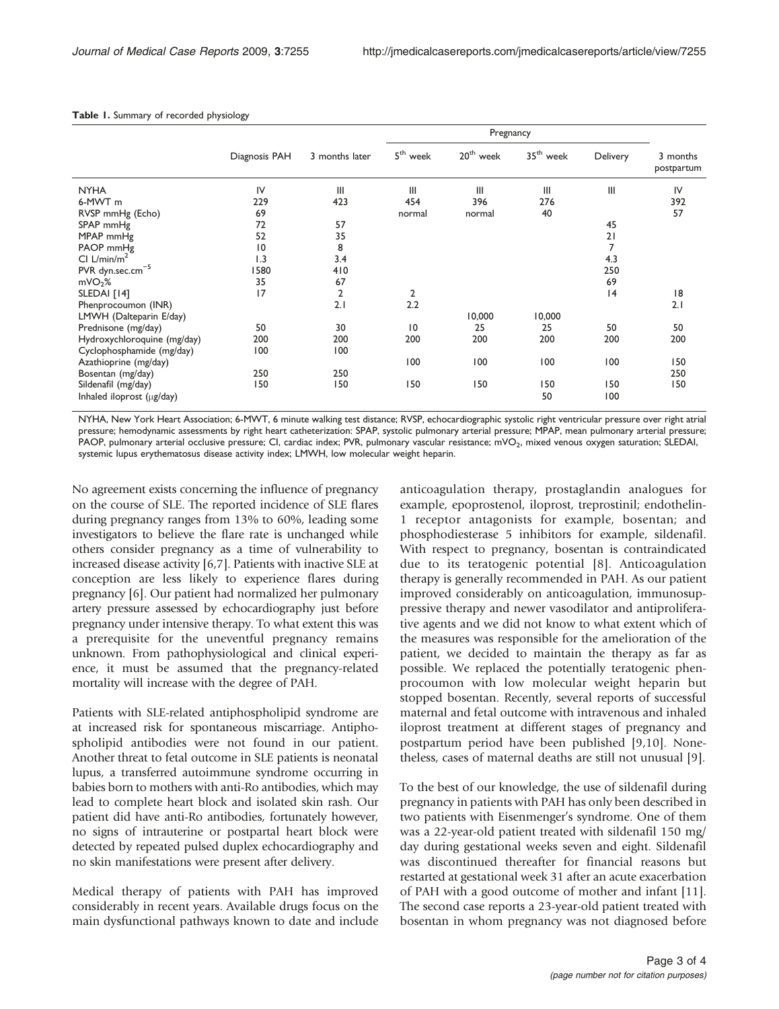|                              |               |                | Pregnancy            |                       |             |          |                        |
|------------------------------|---------------|----------------|----------------------|-----------------------|-------------|----------|------------------------|
|                              | Diagnosis PAH | 3 months later | 5 <sup>th</sup> week | 20 <sup>th</sup> week | $35th$ week | Delivery | 3 months<br>postpartum |
| <b>NYHA</b>                  | IV            | III            | III                  | III                   | III         | III      | IV                     |
| 6-MWT m                      | 229           | 423            | 454                  | 396                   | 276         |          | 392                    |
| RVSP mmHg (Echo)             | 69            |                | normal               | normal                | 40          |          | 57                     |
| SPAP mmHg                    | 72            | 57             |                      |                       |             | 45       |                        |
| MPAP mmHg                    | 52            | 35             |                      |                       |             | 21       |                        |
| PAOP mmHg                    | 10            | 8              |                      |                       |             | 7        |                        |
| CI $L/min/m2$                | 1.3           | 3.4            |                      |                       |             | 4.3      |                        |
| PVR dyn.sec.cm <sup>-5</sup> | 1580          | 410            |                      |                       |             | 250      |                        |
| mVO <sub>2</sub> %           | 35            | 67             |                      |                       |             | 69       |                        |
| SLEDAI [14]                  | 17            | $\overline{2}$ | 2                    |                       |             | 4        | 18                     |
| Phenprocoumon (INR)          |               | 2.1            | 2.2                  |                       |             |          | 2.1                    |
| LMWH (Dalteparin E/day)      |               |                |                      | 10,000                | 10,000      |          |                        |
| Prednisone (mg/day)          | 50            | 30             | 10                   | 25                    | 25          | 50       | 50                     |
| Hydroxychloroquine (mg/day)  | 200           | 200            | 200                  | 200                   | 200         | 200      | 200                    |
| Cyclophosphamide (mg/day)    | 100           | 100            |                      |                       |             |          |                        |
| Azathioprine (mg/day)        |               |                | 100                  | 100                   | 100         | 100      | 150                    |
| Bosentan (mg/day)            | 250           | 250            |                      |                       |             |          | 250                    |
| Sildenafil (mg/day)          | 150           | 150            | 150                  | 150                   | 150         | 150      | 150                    |
| Inhaled iloprost (µg/day)    |               |                |                      |                       | 50          | 100      |                        |

#### <span id="page-2-0"></span>Table 1. Summary of recorded physiology

NYHA, New York Heart Association; 6-MWT, 6 minute walking test distance; RVSP, echocardiographic systolic right ventricular pressure over right atrial pressure; hemodynamic assessments by right heart catheterization: SPAP, systolic pulmonary arterial pressure; MPAP, mean pulmonary arterial pressure; PAOP, pulmonary arterial occlusive pressure; CI, cardiac index; PVR, pulmonary vascular resistance; mVO<sub>2</sub>, mixed venous oxygen saturation; SLEDAI, systemic lupus erythematosus disease activity index; LMWH, low molecular weight heparin.

No agreement exists concerning the influence of pregnancy on the course of SLE. The reported incidence of SLE flares during pregnancy ranges from 13% to 60%, leading some investigators to believe the flare rate is unchanged while others consider pregnancy as a time of vulnerability to increased disease activity [[6,7\]](#page-3-0). Patients with inactive SLE at conception are less likely to experience flares during pregnancy [\[6\]](#page-3-0). Our patient had normalized her pulmonary artery pressure assessed by echocardiography just before pregnancy under intensive therapy. To what extent this was a prerequisite for the uneventful pregnancy remains unknown. From pathophysiological and clinical experience, it must be assumed that the pregnancy-related mortality will increase with the degree of PAH.

Patients with SLE-related antiphospholipid syndrome are at increased risk for spontaneous miscarriage. Antiphospholipid antibodies were not found in our patient. Another threat to fetal outcome in SLE patients is neonatal lupus, a transferred autoimmune syndrome occurring in babies born to mothers with anti-Ro antibodies, which may lead to complete heart block and isolated skin rash. Our patient did have anti-Ro antibodies, fortunately however, no signs of intrauterine or postpartal heart block were detected by repeated pulsed duplex echocardiography and no skin manifestations were present after delivery.

Medical therapy of patients with PAH has improved considerably in recent years. Available drugs focus on the main dysfunctional pathways known to date and include anticoagulation therapy, prostaglandin analogues for example, epoprostenol, iloprost, treprostinil; endothelin-1 receptor antagonists for example, bosentan; and phosphodiesterase 5 inhibitors for example, sildenafil. With respect to pregnancy, bosentan is contraindicated due to its teratogenic potential [[8](#page-3-0)]. Anticoagulation therapy is generally recommended in PAH. As our patient improved considerably on anticoagulation, immunosuppressive therapy and newer vasodilator and antiproliferative agents and we did not know to what extent which of the measures was responsible for the amelioration of the patient, we decided to maintain the therapy as far as possible. We replaced the potentially teratogenic phenprocoumon with low molecular weight heparin but stopped bosentan. Recently, several reports of successful maternal and fetal outcome with intravenous and inhaled iloprost treatment at different stages of pregnancy and postpartum period have been published [\[9,10\]](#page-3-0). Nonetheless, cases of maternal deaths are still not unusual [[9\]](#page-3-0).

To the best of our knowledge, the use of sildenafil during pregnancy in patients with PAH has only been described in two patients with Eisenmenger's syndrome. One of them was a 22-year-old patient treated with sildenafil 150 mg/ day during gestational weeks seven and eight. Sildenafil was discontinued thereafter for financial reasons but restarted at gestational week 31 after an acute exacerbation of PAH with a good outcome of mother and infant [\[11\]](#page-3-0). The second case reports a 23-year-old patient treated with bosentan in whom pregnancy was not diagnosed before